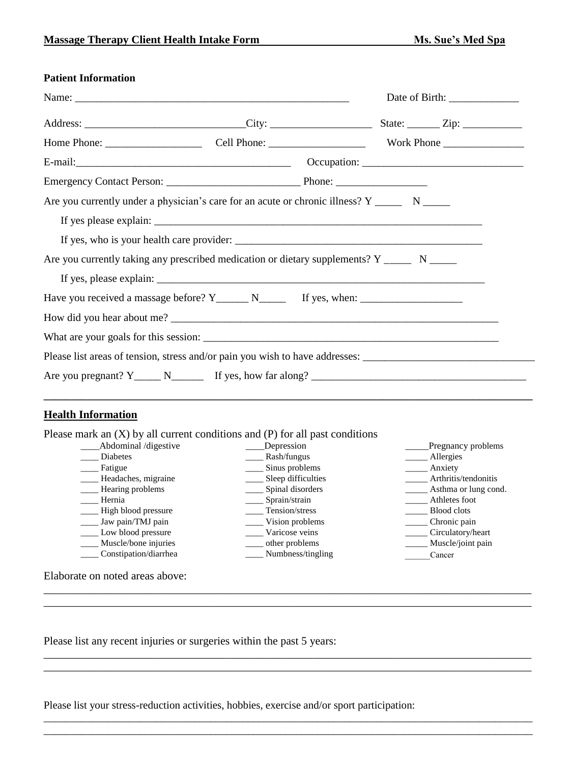## **Patient Information**

| Are you currently under a physician's care for an acute or chronic illness? $Y \_$ $N \_$     |  |  |
|-----------------------------------------------------------------------------------------------|--|--|
|                                                                                               |  |  |
|                                                                                               |  |  |
| Are you currently taking any prescribed medication or dietary supplements? $Y_{\text{max}}$ N |  |  |
|                                                                                               |  |  |
| Have you received a massage before? $Y_{\text{________}}$ N $\text{________}$ If yes, when:   |  |  |
|                                                                                               |  |  |
|                                                                                               |  |  |
|                                                                                               |  |  |
| Are you pregnant? $Y_{\text{max}}$ N <sub>_comp</sub> If yes, how far along?                  |  |  |

## **Health Information**

Please mark an (X) by all current conditions and (P) for all past conditions

| Abdominal /digestive  | Depression         | Pregnancy problems   |
|-----------------------|--------------------|----------------------|
| Diabetes              | Rash/fungus        | Allergies            |
| Fatigue               | Sinus problems     | Anxiety              |
| Headaches, migraine   | Sleep difficulties | Arthritis/tendonitis |
| Hearing problems      | Spinal disorders   | Asthma or lung cond. |
| Hernia                | Sprain/strain      | Athletes foot        |
| High blood pressure   | Tension/stress     | Blood clots          |
| Jaw pain/TMJ pain     | Vision problems    | Chronic pain         |
| Low blood pressure    | Varicose veins     | Circulatory/heart    |
| Muscle/bone injuries  | other problems     | Muscle/joint pain    |
| Constipation/diarrhea | Numbness/tingling  | Cancer               |
|                       |                    |                      |
| $\sim$ 1              |                    |                      |

\_\_\_\_\_\_\_\_\_\_\_\_\_\_\_\_\_\_\_\_\_\_\_\_\_\_\_\_\_\_\_\_\_\_\_\_\_\_\_\_\_\_\_\_\_\_\_\_\_\_\_\_\_\_\_\_\_\_\_\_\_\_\_\_\_\_\_\_\_\_\_\_\_\_\_\_\_\_\_\_\_\_\_\_\_\_\_ \_\_\_\_\_\_\_\_\_\_\_\_\_\_\_\_\_\_\_\_\_\_\_\_\_\_\_\_\_\_\_\_\_\_\_\_\_\_\_\_\_\_\_\_\_\_\_\_\_\_\_\_\_\_\_\_\_\_\_\_\_\_\_\_\_\_\_\_\_\_\_\_\_\_\_\_\_\_\_\_\_\_\_\_\_\_\_

\_\_\_\_\_\_\_\_\_\_\_\_\_\_\_\_\_\_\_\_\_\_\_\_\_\_\_\_\_\_\_\_\_\_\_\_\_\_\_\_\_\_\_\_\_\_\_\_\_\_\_\_\_\_\_\_\_\_\_\_\_\_\_\_\_\_\_\_\_\_\_\_\_\_\_\_\_\_\_\_\_\_\_\_\_\_\_

\_\_\_\_\_\_\_\_\_\_\_\_\_\_\_\_\_\_\_\_\_\_\_\_\_\_\_\_\_\_\_\_\_\_\_\_\_\_\_\_\_\_\_\_\_\_\_\_\_\_\_\_\_\_\_\_\_\_\_\_\_\_\_\_\_\_\_\_\_\_\_\_\_\_\_\_\_\_\_\_\_\_\_\_\_\_\_\_\_\_\_ \_\_\_\_\_\_\_\_\_\_\_\_\_\_\_\_\_\_\_\_\_\_\_\_\_\_\_\_\_\_\_\_\_\_\_\_\_\_\_\_\_\_\_\_\_\_\_\_\_\_\_\_\_\_\_\_\_\_\_\_\_\_\_\_\_\_\_\_\_\_\_\_\_\_\_\_\_\_\_\_\_\_\_\_\_\_\_\_\_\_\_

Elaborate on noted areas above:

Please list any recent injuries or surgeries within the past 5 years:

Please list your stress-reduction activities, hobbies, exercise and/or sport participation:

\_\_\_\_\_\_\_\_\_\_\_\_\_\_\_\_\_\_\_\_\_\_\_\_\_\_\_\_\_\_\_\_\_\_\_\_\_\_\_\_\_\_\_\_\_\_\_\_\_\_\_\_\_\_\_\_\_\_\_\_\_\_\_\_\_\_\_\_\_\_\_\_\_\_\_\_\_\_\_\_\_\_\_\_\_\_\_